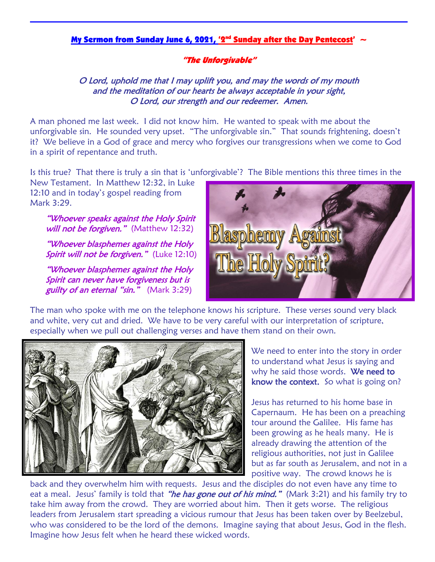### <u>My Sermon from Sunday June 6, 2021, '2<sup>nd</sup> Sunday after the Day Pentecost'  $\sim$ </u>

#### "The Unforgivable"

### O Lord, uphold me that I may uplift you, and may the words of my mouth and the meditation of our hearts be always acceptable in your sight, O Lord, our strength and our redeemer. Amen.

A man phoned me last week. I did not know him. He wanted to speak with me about the unforgivable sin. He sounded very upset. "The unforgivable sin." That sounds frightening, doesn't it? We believe in a God of grace and mercy who forgives our transgressions when we come to God in a spirit of repentance and truth.

Is this true? That there is truly a sin that is 'unforgivable'? The Bible mentions this three times in the

New Testament. In Matthew 12:32, in Luke 12:10 and in today's gospel reading from Mark 3:29. Ĩ

"Whoever speaks against the Holy Spirit will not be forgiven." (Matthew 12:32)

"Whoever blasphemes against the Holy Spirit will not be forgiven." (Luke 12:10)

"Whoever blasphemes against the Holy Spirit can never have forgiveness but is guilty of an eternal "sin." (Mark 3:29)



The man who spoke with me on the telephone knows his scripture. These verses sound very black and white, very cut and dried. We have to be very careful with our interpretation of scripture, especially when we pull out challenging verses and have them stand on their own.



We need to enter into the story in order to understand what Jesus is saying and why he said those words. We need to know the context. So what is going on?

Jesus has returned to his home base in Capernaum. He has been on a preaching tour around the Galilee. His fame has been growing as he heals many. He is already drawing the attention of the religious authorities, not just in Galilee but as far south as Jerusalem, and not in a positive way. The crowd knows he is

back and they overwhelm him with requests. Jesus and the disciples do not even have any time to eat a meal. Jesus' family is told that *"he has gone out of his mind."* (Mark 3:21) and his family try to take him away from the crowd. They are worried about him. Then it gets worse. The religious leaders from Jerusalem start spreading a vicious rumour that Jesus has been taken over by Beelzebul, who was considered to be the lord of the demons. Imagine saying that about Jesus, God in the flesh. Imagine how Jesus felt when he heard these wicked words.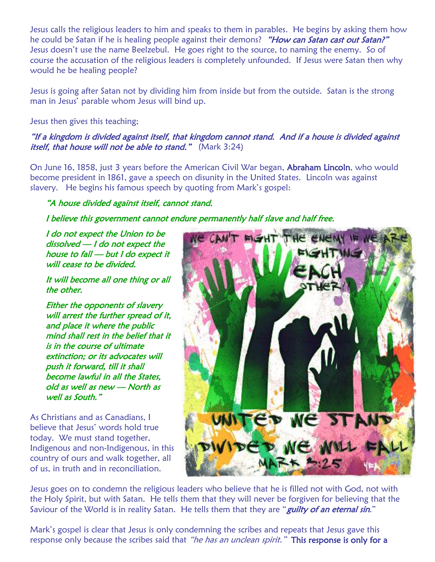Jesus calls the religious leaders to him and speaks to them in parables. He begins by asking them how he could be Satan if he is healing people against their demons? "How can Satan cast out Satan?" Jesus doesn't use the name Beelzebul. He goes right to the source, to naming the enemy. So of course the accusation of the religious leaders is completely unfounded. If Jesus were Satan then why would he be healing people?

Jesus is going after Satan not by dividing him from inside but from the outside. Satan is the strong man in Jesus' parable whom Jesus will bind up.

### Jesus then gives this teaching;

## "If a kingdom is divided against itself, that kingdom cannot stand. And if a house is divided against *itself, that house will not be able to stand.*" (Mark 3:24)

On June 16, 1858, just 3 years before the American Civil War began, Abraham Lincoln, who would become president in 1861, gave a speech on disunity in the United States. Lincoln was against slavery. He begins his famous speech by quoting from Mark's gospel:

# "A house divided against itself, cannot stand.

# I believe this government cannot endure permanently half slave and half free.

I do not expect the Union to be dissolved — I do not expect the house to fall — but I do expect it will cease to be divided.

It will become all one thing or all the other.

Either the opponents of slavery will arrest the further spread of it, and place it where the public mind shall rest in the belief that it is in the course of ultimate extinction; or its advocates will push it forward, till it shall become lawful in all the States, old as well as new — North as well as South."

As Christians and as Canadians, I believe that Jesus' words hold true today. We must stand together, Indigenous and non-Indigenous, in this country of ours and walk together, all of us, in truth and in reconciliation.



Jesus goes on to condemn the religious leaders who believe that he is filled not with God, not with the Holy Spirit, but with Satan. He tells them that they will never be forgiven for believing that the Saviour of the World is in reality Satan. He tells them that they are "*guilty of an eternal sin*."

Mark's gospel is clear that Jesus is only condemning the scribes and repeats that Jesus gave this response only because the scribes said that "he has an unclean spirit." This response is only for a